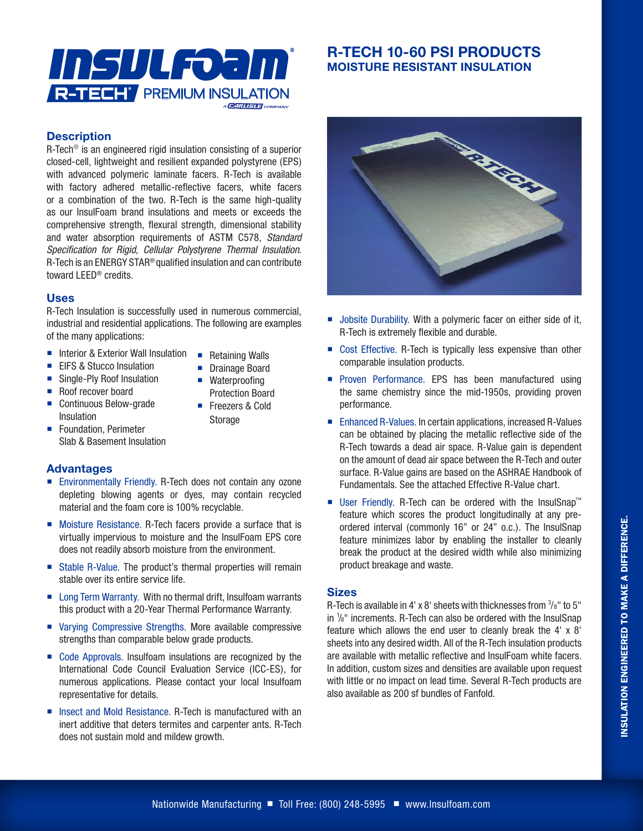

# **R-TECH 10-60 PSI PRODUCTS MOISTURE RESISTANT INSULATION**

### **Description**

R-Tech® is an engineered rigid insulation consisting of a superior closed-cell, lightweight and resilient expanded polystyrene (EPS) with advanced polymeric laminate facers. R-Tech is available with factory adhered metallic-reflective facers, white facers or a combination of the two. R-Tech is the same high-quality as our InsulFoam brand insulations and meets or exceeds the comprehensive strength, flexural strength, dimensional stability and water absorption requirements of ASTM C578, *Standard Specification for Rigid, Cellular Polystyrene Thermal Insulation*. R-Tech is an ENERGY STAR® qualified insulation and can contribute toward LEED® credits.

## **Uses**

R-Tech Insulation is successfully used in numerous commercial, industrial and residential applications. The following are examples of the many applications:

- Interior & Exterior Wall Insulation Retaining Walls
- **EIFS & Stucco Insulation**
- 
- Single-Ply Roof Insulation
- Roof recover board
- Continuous Below-grade Insulation
- **Foundation, Perimeter** Slab & Basement Insulation

#### **Advantages**

- Environmentally Friendly. R-Tech does not contain any ozone depleting blowing agents or dyes, may contain recycled material and the foam core is 100% recyclable.
- **Moisture Resistance. R-Tech facers provide a surface that is** virtually impervious to moisture and the InsulFoam EPS core does not readily absorb moisture from the environment.
- Stable R-Value. The product's thermal properties will remain stable over its entire service life.
- Long Term Warranty. With no thermal drift, Insulfoam warrants this product with a 20-Year Thermal Performance Warranty.
- Varying Compressive Strengths. More available compressive strengths than comparable below grade products.
- Code Approvals. Insulfoam insulations are recognized by the International Code Council Evaluation Service (ICC-ES), for numerous applications. Please contact your local Insulfoam representative for details.
- Insect and Mold Resistance. R-Tech is manufactured with an inert additive that deters termites and carpenter ants. R-Tech does not sustain mold and mildew growth.



- **Jobsite Durability. With a polymeric facer on either side of it,** R-Tech is extremely flexible and durable.
- Cost Effective. R-Tech is typically less expensive than other comparable insulation products.
- **Proven Performance. EPS has been manufactured using** the same chemistry since the mid-1950s, providing proven performance.
- Enhanced R-Values. In certain applications, increased R-Values can be obtained by placing the metallic reflective side of the R-Tech towards a dead air space. R-Value gain is dependent on the amount of dead air space between the R-Tech and outer surface. R-Value gains are based on the ASHRAE Handbook of Fundamentals. See the attached Effective R-Value chart.
- User Friendly. R-Tech can be ordered with the InsulSnap™ feature which scores the product longitudinally at any preordered interval (commonly 16" or 24" o.c.). The InsulSnap feature minimizes labor by enabling the installer to cleanly break the product at the desired width while also minimizing product breakage and waste.

#### **Sizes**

R-Tech is available in 4' x 8' sheets with thicknesses from  $\frac{3}{8}$ " to 5" in 1 /8" increments. R-Tech can also be ordered with the InsulSnap feature which allows the end user to cleanly break the 4' x 8' sheets into any desired width. All of the R-Tech insulation products are available with metallic reflective and InsulFoam white facers. In addition, custom sizes and densities are available upon request with little or no impact on lead time. Several R-Tech products are also available as 200 sf bundles of Fanfold.

## **Drainage Board** ■ Waterproofing Protection Board

■ Freezers & Cold Storage